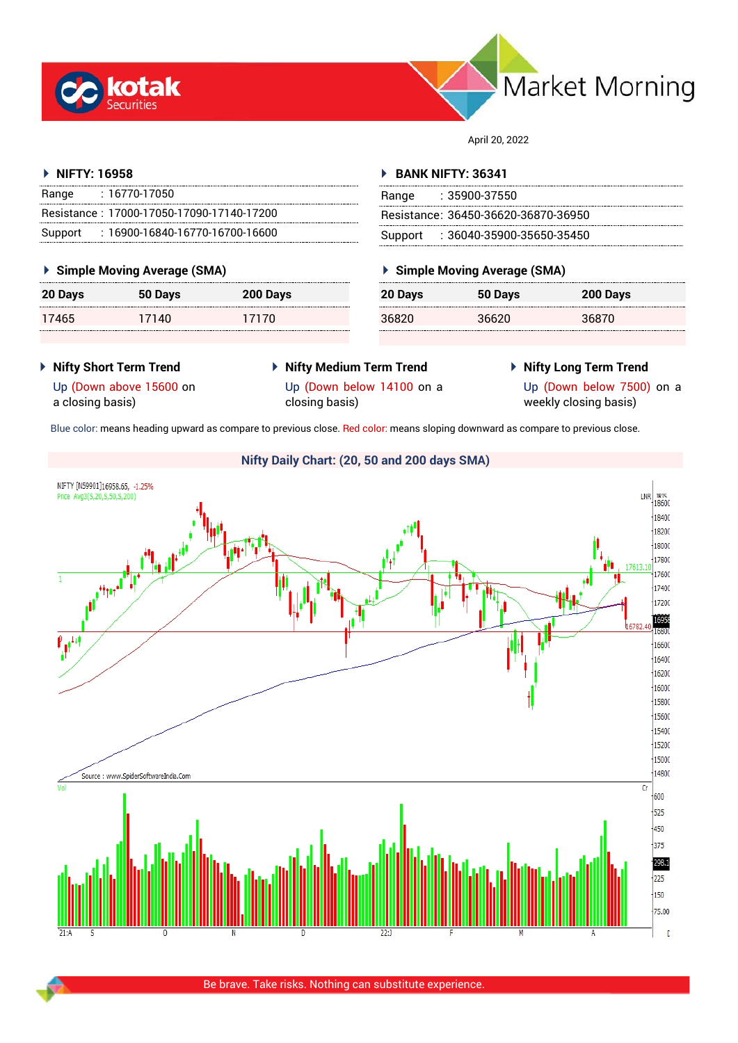



April 20, 2022

#### **NIFTY: 16958**

| Range | : 16770-17050                             |
|-------|-------------------------------------------|
|       | Resistance: 17000-17050-17090-17140-17200 |
|       | Support: 16900-16840-16770-16700-16600    |

#### **Simple Moving Average (SMA)**

| 20 Days | 50 Days | 200 Days |
|---------|---------|----------|
| 17465   | 17140   | 17170    |

#### **BANK NIFTY: 36341**

| Range | : 35900-37550                       |
|-------|-------------------------------------|
|       | Resistance: 36450-36620-36870-36950 |
|       | Support : 36040-35900-35650-35450   |

## **Simple Moving Average (SMA)**

| 20 Days | 50 Days | 200 Days |
|---------|---------|----------|
| 36820   | 36620   | 36870    |

- **Nifty Short Term Trend**
- **Nifty Medium Term Trend** Up (Down below 14100 on a
- **Nifty Long Term Trend**

Up (Down above 15600 on a closing basis)

- closing basis)
- 

Up (Down below 7500) on a weekly closing basis)

Blue color: means heading upward as compare to previous close. Red color: means sloping downward as compare to previous close.

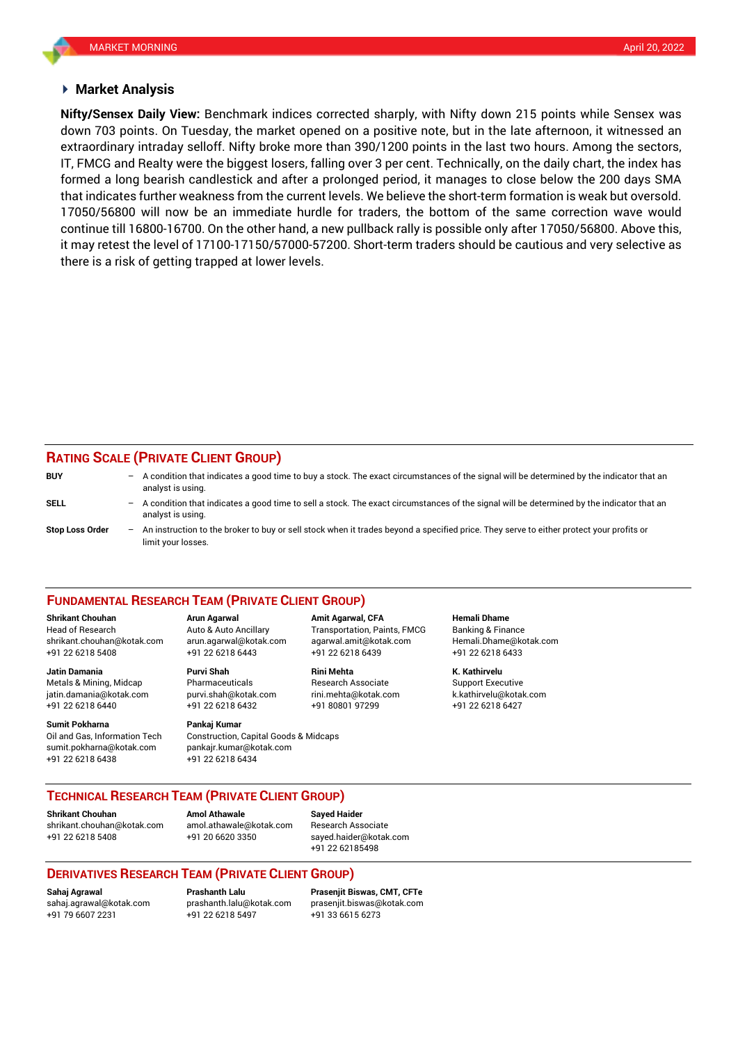#### **Market Analysis**

down 703 points. On Tuesday, the market opened on a positive note, but in the late afternoon, it witnessed an **Nifty/Sensex Daily View:** Benchmark indices corrected sharply, with Nifty down 215 points while Sensex was extraordinary intraday selloff. Nifty broke more than 390/1200 points in the last two hours. Among the sectors, IT, FMCG and Realty were the biggest losers, falling over 3 per cent. Technically, on the daily chart, the index has formed a long bearish candlestick and after a prolonged period, it manages to close below the 200 days SMA that indicates further weakness from the current levels. We believe the short-term formation is weak but oversold. 17050/56800 will now be an immediate hurdle for traders, the bottom of the same correction wave would continue till 16800-16700. On the other hand, a new pullback rally is possible only after 17050/56800. Above this, it may retest the level of 17100-17150/57000-57200. Short-term traders should be cautious and very selective as there is a risk of getting trapped at lower levels.

## **RATING SCALE (PRIVATE CLIENT GROUP)**

| <b>BUY</b>             | $-$ | A condition that indicates a good time to buy a stock. The exact circumstances of the signal will be determined by the indicator that an<br>analyst is using.  |
|------------------------|-----|----------------------------------------------------------------------------------------------------------------------------------------------------------------|
| SELL                   | $-$ | A condition that indicates a good time to sell a stock. The exact circumstances of the signal will be determined by the indicator that an<br>analyst is using. |
| <b>Stop Loss Order</b> | $-$ | An instruction to the broker to buy or sell stock when it trades beyond a specified price. They serve to either protect your profits or<br>limit vour losses.  |

#### **FUNDAMENTAL RESEARCH TEAM (PRIVATE CLIENT GROUP)**

Head of Research Auto & Auto Ancillary Transportation, Paints, FMCG Banking & Finance [shrikant.chouhan@kotak.com](mailto:shrikant.chouhan@kotak.com) arun.agarwal@kotak.com agarwal.amit@kotak.com Hemali.Dhame@kotak.com

**Jatin Damania Purvi Shah Rini Mehta K. Kathirvelu** Metals & Mining, Midcap Pharmaceuticals Research Associate Support Executive jatin.damania@kotak.com [purvi.shah@kotak.com](mailto:purvi.shah@kotak.com) rini.mehta@kotak.com [k.kathirvelu@kotak.com](mailto:k.kathirvelu@kotak.com) +91 22 6218 6440 +91 22 6218 6432 +91 80801 97299 +91 22 6218 6427

Oil and Gas, Information Tech Construction, Capital Goods & Midcaps sumit.pokharna@kotak.com pankajr.kumar@kotak.com

+91 22 6218 5408 +91 22 6218 6443 +91 22 6218 6439 +91 22 6218 6433

# **Sumit Pokharna** Pankaj Kumar

+91 22 6218 6438 +91 22 6218 6434

**Shrikant Chouhan Arun Agarwal Amit Agarwal, CFA Hemali Dhame**

#### **TECHNICAL RESEARCH TEAM (PRIVATE CLIENT GROUP)**

**Shrikant Chouhan Amol Athawale Sayed Haider**

[shrikant.chouhan@kotak.com](mailto:shrikant.chouhan@kotak.com) [amol.athawale@kotak.com](mailto:amol.athawale@kotak.com) Research Associate +91 22 6218 5408 +91 20 6620 3350 [sayed.haider@kotak.com](mailto:sayed.haider@kotak.com)

+91 22 62185498

#### **DERIVATIVES RESEARCH TEAM (PRIVATE CLIENT GROUP)**

+91 22 6218 5497 +91 33 6615 6273

**Sahaj Agrawal Prashanth Lalu Prasenjit Biswas, CMT, CFTe** [sahaj.agrawal@kotak.com](mailto:sahaj.agrawal@kotak.com) [prashanth.lalu@kotak.com](mailto:prashanth.lalu@kotak.com) [prasenjit.biswas@kotak.com](mailto:prasenjit.biswas@kotak.com)